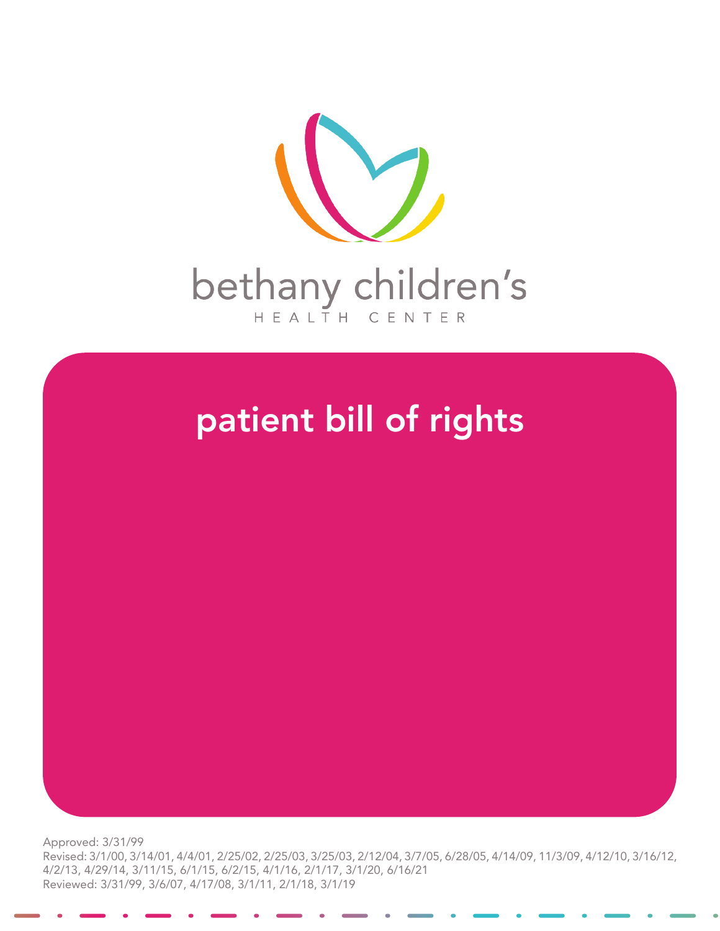

## patient bill of rights

Approved: 3/31/99 Revised: 3/1/00, 3/14/01, 4/4/01, 2/25/02, 2/25/03, 3/25/03, 2/12/04, 3/7/05, 6/28/05, 4/14/09, 11/3/09, 4/12/10, 3/16/12, 4/2/13, 4/29/14, 3/11/15, 6/1/15, 6/2/15, 4/1/16, 2/1/17, 3/1/20, 6/16/21 Reviewed: 3/31/99, 3/6/07, 4/17/08, 3/1/11, 2/1/18, 3/1/19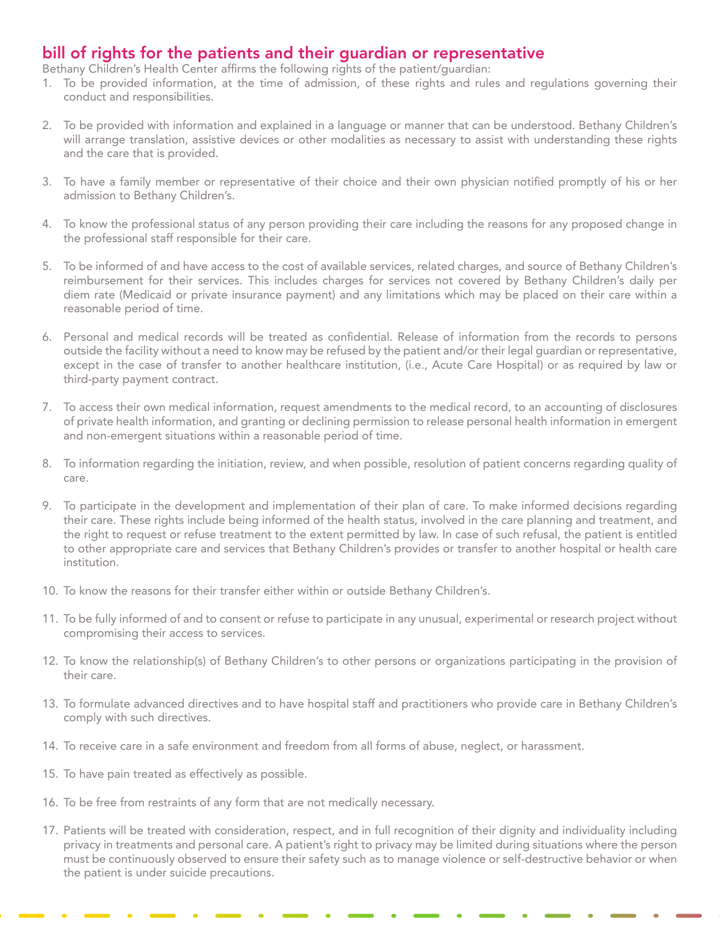## bill of rights for the patients and their guardian or representative

Bethany Children's Health Center affirms the following rights of the patient/guardian:

- 1. To be provided information, at the time of admission, of these rights and rules and regulations governing their conduct and responsibilities.
- 2. To be provided with information and explained in a language or manner that can be understood. Bethany Children's will arrange translation, assistive devices or other modalities as necessary to assist with understanding these rights and the care that is provided.
- 3. To have a family member or representative of their choice and their own physician notified promptly of his or her admission to Bethany Children's.
- 4. To know the professional status of any person providing their care including the reasons for any proposed change in the professional staff responsible for their care.
- 5. To be informed of and have access to the cost of available services, related charges, and source of Bethany Children's reimbursement for their services. This includes charges for services not covered by Bethany Children's daily per diem rate (Medicaid or private insurance payment) and any limitations which may be placed on their care within a reasonable period of time.
- 6. Personal and medical records will be treated as confidential. Release of information from the records to persons outside the facility without a need to know may be refused by the patient and/or their legal guardian or representative, except in the case of transfer to another healthcare institution, (i.e., Acute Care Hospital) or as required by law or third-party payment contract.
- 7. To access their own medical information, request amendments to the medical record, to an accounting of disclosures of private health information, and granting or declining permission to release personal health information in emergent and non-emergent situations within a reasonable period of time.
- 8. To information regarding the initiation, review, and when possible, resolution of patient concerns regarding quality of care.
- 9. To participate in the development and implementation of their plan of care. To make informed decisions regarding their care. These rights include being informed of the health status, involved in the care planning and treatment, and the right to request or refuse treatment to the extent permitted by law. In case of such refusal, the patient is entitled to other appropriate care and services that Bethany Children's provides or transfer to another hospital or health care institution.
- 10. To know the reasons for their transfer either within or outside Bethany Children's.
- 11. To be fully informed of and to consent or refuse to participate in any unusual, experimental or research project without compromising their access to services.
- 12. To know the relationship(s) of Bethany Children's to other persons or organizations participating in the provision of their care.
- 13. To formulate advanced directives and to have hospital staff and practitioners who provide care in Bethany Children's comply with such directives.
- 14. To receive care in a safe environment and freedom from all forms of abuse, neglect, or harassment.
- 15. To have pain treated as effectively as possible.
- 16. To be free from restraints of any form that are not medically necessary.
- 17. Patients will be treated with consideration, respect, and in full recognition of their dignity and individuality including privacy in treatments and personal care. A patient's right to privacy may be limited during situations where the person must be continuously observed to ensure their safety such as to manage violence or self-destructive behavior or when the patient is under suicide precautions.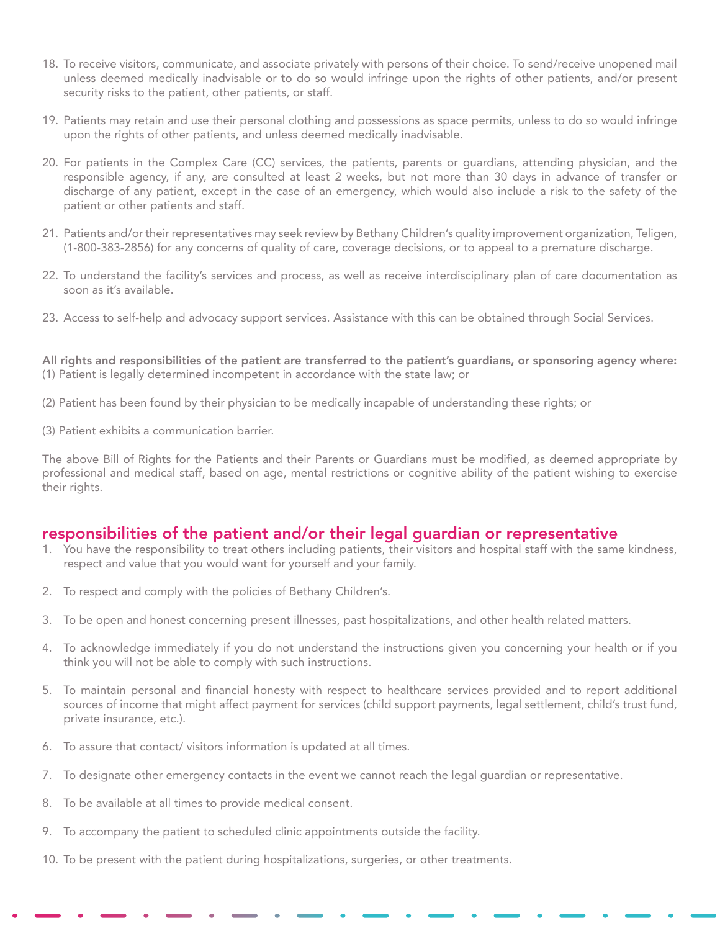- 18. To receive visitors, communicate, and associate privately with persons of their choice. To send/receive unopened mail unless deemed medically inadvisable or to do so would infringe upon the rights of other patients, and/or present security risks to the patient, other patients, or staff.
- 19. Patients may retain and use their personal clothing and possessions as space permits, unless to do so would infringe upon the rights of other patients, and unless deemed medically inadvisable.
- 20. For patients in the Complex Care (CC) services, the patients, parents or guardians, attending physician, and the responsible agency, if any, are consulted at least 2 weeks, but not more than 30 days in advance of transfer or discharge of any patient, except in the case of an emergency, which would also include a risk to the safety of the patient or other patients and staff.
- 21. Patients and/or their representatives may seek review by Bethany Children's quality improvement organization, Teligen, (1-800-383-2856) for any concerns of quality of care, coverage decisions, or to appeal to a premature discharge.
- 22. To understand the facility's services and process, as well as receive interdisciplinary plan of care documentation as soon as it's available.
- 23. Access to self-help and advocacy support services. Assistance with this can be obtained through Social Services.

All rights and responsibilities of the patient are transferred to the patient's guardians, or sponsoring agency where: (1) Patient is legally determined incompetent in accordance with the state law; or

- (2) Patient has been found by their physician to be medically incapable of understanding these rights; or
- (3) Patient exhibits a communication barrier.

The above Bill of Rights for the Patients and their Parents or Guardians must be modified, as deemed appropriate by professional and medical staff, based on age, mental restrictions or cognitive ability of the patient wishing to exercise their rights.

## responsibilities of the patient and/or their legal guardian or representative

- 1. You have the responsibility to treat others including patients, their visitors and hospital staff with the same kindness, respect and value that you would want for yourself and your family.
- 2. To respect and comply with the policies of Bethany Children's.
- 3. To be open and honest concerning present illnesses, past hospitalizations, and other health related matters.
- 4. To acknowledge immediately if you do not understand the instructions given you concerning your health or if you think you will not be able to comply with such instructions.
- 5. To maintain personal and financial honesty with respect to healthcare services provided and to report additional sources of income that might affect payment for services (child support payments, legal settlement, child's trust fund, private insurance, etc.).
- 6. To assure that contact/ visitors information is updated at all times.
- 7. To designate other emergency contacts in the event we cannot reach the legal guardian or representative.
- 8. To be available at all times to provide medical consent.
- 9. To accompany the patient to scheduled clinic appointments outside the facility.
- 10. To be present with the patient during hospitalizations, surgeries, or other treatments.